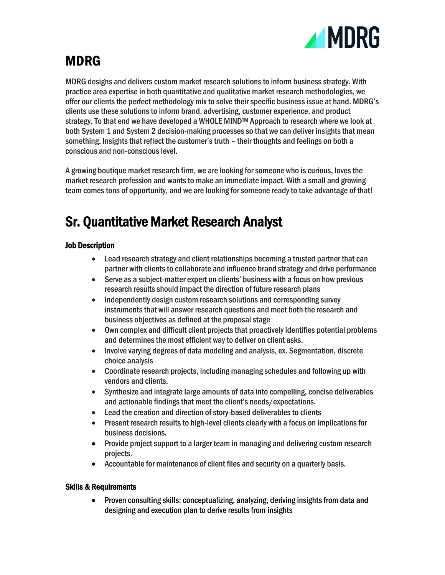

# MDRG

MDRG designs and delivers custom market research solutions to inform business strategy. With practice area expertise in both quantitative and qualitative market research methodologies, we offer our clients the perfect methodology mix to solve their specific business issue at hand. MDRG's clients use these solutions to inform brand, advertising, customer experience, and product strategy. To that end we have developed a WHOLE MINDTM Approach to research where we look at both System 1 and System 2 decision-making processes so that we can deliver insights that mean something. Insights that reflect the customer's truth – their thoughts and feelings on both a conscious and non-conscious level.

A growing boutique market research firm, we are looking for someone who is curious, loves the market research profession and wants to make an immediate impact. With a small and growing team comes tons of opportunity, and we are looking for someone ready to take advantage of that!

## Sr. Quantitative Market Research Analyst

#### Job Description

- Lead research strategy and client relationships becoming a trusted partner that can partner with clients to collaborate and influence brand strategy and drive performance
- Serve as a subject-matter expert on clients' business with a focus on how previous research results should impact the direction of future research plans
- Independently design custom research solutions and corresponding survey instruments that will answer research questions and meet both the research and business objectives as defined at the proposal stage
- Own complex and difficult client projects that proactively identifies potential problems and determines the most efficient way to deliver on client asks.
- Involve varying degrees of data modeling and analysis, ex. Segmentation, discrete choice analysis
- Coordinate research projects, including managing schedules and following up with vendors and clients.
- Synthesize and integrate large amounts of data into compelling, concise deliverables and actionable findings that meet the client's needs/expectations.
- Lead the creation and direction of story-based deliverables to clients
- Present research results to high-level clients clearly with a focus on implications for business decisions.
- Provide project support to a larger team in managing and delivering custom research projects.
- Accountable for maintenance of client files and security on a quarterly basis.

#### Skills & Requirements

• Proven consulting skills: conceptualizing, analyzing, deriving insights from data and designing and execution plan to derive results from insights